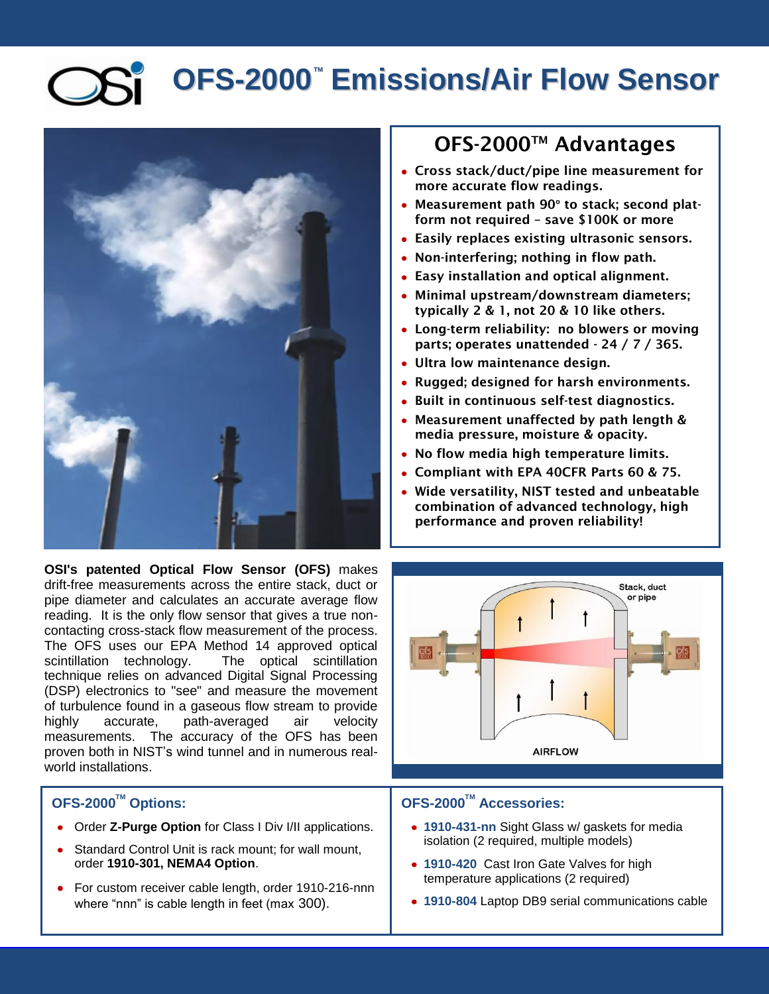# **OFS-2000<sup>™</sup> Emissions/Air Flow Sensor**



**OSI's patented Optical Flow Sensor (OFS)** makes drift-free measurements across the entire stack, duct or pipe diameter and calculates an accurate average flow reading. It is the only flow sensor that gives a true noncontacting cross-stack flow measurement of the process. The OFS uses our EPA Method 14 approved optical scintillation technology. The optical scintillation technique relies on advanced Digital Signal Processing (DSP) electronics to "see" and measure the movement of turbulence found in a gaseous flow stream to provide highly accurate, path-averaged air velocity measurements. The accuracy of the OFS has been proven both in NIST's wind tunnel and in numerous realworld installations.

#### **OFS-2000TM Options:**

- Order **Z-Purge Option** for Class I Div I/II applications.
- Standard Control Unit is rack mount; for wall mount, order **1910-301, NEMA4 Option**.
- For custom receiver cable length, order 1910-216-nnn where "nnn" is cable length in feet (max 300).

### **OFS-2000TM Advantages**

- **Cross stack/duct/pipe line measurement for more accurate flow readings.**
- **Measurement path 90° to stack; second platform not required – save \$100K or more**
- **Easily replaces existing ultrasonic sensors.**
- **Non-interfering; nothing in flow path.**
- **Easy installation and optical alignment.**
- **Minimal upstream/downstream diameters; typically 2 & 1, not 20 & 10 like others.**
- **Long-term reliability: no blowers or moving parts; operates unattended - 24 / 7 / 365.**
- **Ultra low maintenance design.**
- **Rugged; designed for harsh environments.**
- **Built in continuous self-test diagnostics.**
- **Measurement unaffected by path length & media pressure, moisture & opacity.**
- **No flow media high temperature limits.**
- **Compliant with EPA 40CFR Parts 60 & 75.**
- **Wide versatility, NIST tested and unbeatable combination of advanced technology, high performance and proven reliability!**



#### **OFS-2000TM Accessories:**

- **1910-431-nn** Sight Glass w/ gaskets for media isolation (2 required, multiple models)
- **1910-420** Cast Iron Gate Valves for high temperature applications (2 required)
- **1910-804** Laptop DB9 serial communications cable